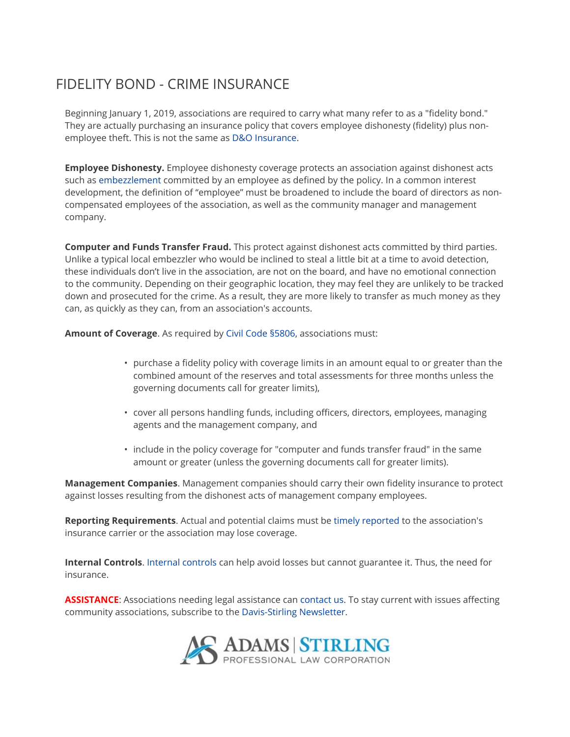## FIDELITY BOND - CRIME INSURANCE

Beginning January 1, 2019, associations are required to carry what many refer to as a "fidelity bond." They are actually purchasing an insurance policy that covers employee dishonesty (fidelity) plus nonemployee theft. This is not the same as D&O Insurance.

**Employee Dishonesty.** Employee dishonesty coverage protects an association against dishonest acts such as embezzlement committed by an employee as defined by the policy. In a common interest development, the definition of "employee" must be broadened to include the board of directors as noncompensated employees of the association, as well as the community manager and management company.

Computer and Funds Transfer Fraud. This protect against dishonest acts committed by third parties. Unlike a typical local embezzler who would be inclined to steal a little bit at a time to avoid detection, these individuals don't live in the association, are not on the board, and have no emotional connection to the community. Depending on their geographic location, they may feel they are unlikely to be tracked down and prosecuted for the crime. As a result, they are more likely to transfer as much money as they can, as quickly as they can, from an association's accounts.

Amount of Coverage. As required by Civil Code §5806, associations must:

- purchase a fidelity policy with coverage limits in an amount equal to or greater than the combined amount of the reserves and total assessments for three months unless the governing documents call for greater limits),
- cover all persons handling funds, including officers, directors, employees, managing agents and the management company, and
- include in the policy coverage for "computer and funds transfer fraud" in the same amount or greater (unless the governing documents call for greater limits).

**Management Companies.** Management companies should carry their own fidelity insurance to protect against losses resulting from the dishonest acts of management company employees.

Reporting Requirements. Actual and potential claims must be timely reported to the association's insurance carrier or the association may lose coverage.

Internal Controls. Internal controls can help avoid losses but cannot guarantee it. Thus, the need for insurance.

**ASSISTANCE:** Associations needing legal assistance can contact us. To stay current with issues affecting community associations, subscribe to the Davis-Stirling Newsletter.